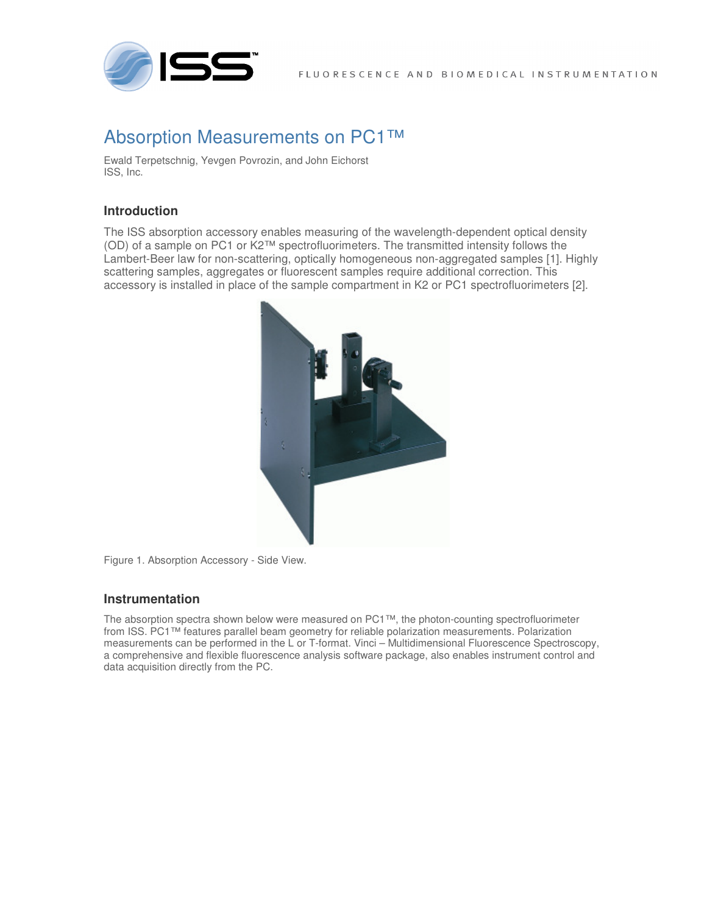

# Absorption Measurements on PC1™

Ewald Terpetschnig, Yevgen Povrozin, and John Eichorst ISS, Inc.

## **Introduction**

The ISS absorption accessory enables measuring of the wavelength-dependent optical density (OD) of a sample on PC1 or K2™ spectrofluorimeters. The transmitted intensity follows the Lambert-Beer law for non-scattering, optically homogeneous non-aggregated samples [1]. Highly scattering samples, aggregates or fluorescent samples require additional correction. This accessory is installed in place of the sample compartment in K2 or PC1 spectrofluorimeters [2].



Figure 1. Absorption Accessory - Side View.

### **Instrumentation**

The absorption spectra shown below were measured on PC1™, the photon-counting spectrofluorimeter from ISS. PC1™ features parallel beam geometry for reliable polarization measurements. Polarization measurements can be performed in the L or T-format. Vinci – Multidimensional Fluorescence Spectroscopy, a comprehensive and flexible fluorescence analysis software package, also enables instrument control and data acquisition directly from the PC.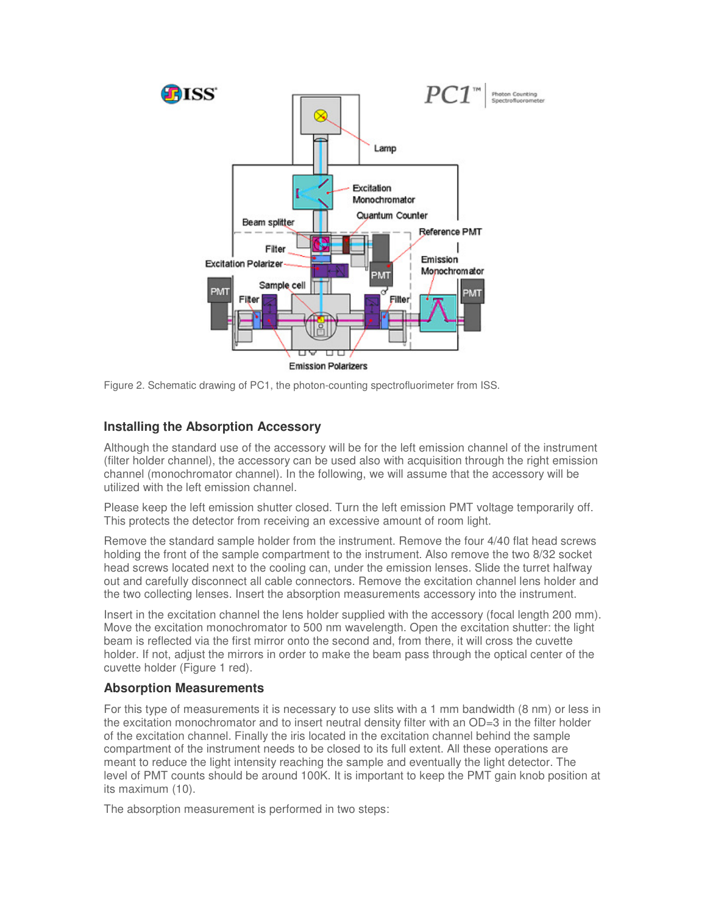

Figure 2. Schematic drawing of PC1, the photon-counting spectrofluorimeter from ISS.

# **Installing the Absorption Accessory**

Although the standard use of the accessory will be for the left emission channel of the instrument (filter holder channel), the accessory can be used also with acquisition through the right emission channel (monochromator channel). In the following, we will assume that the accessory will be utilized with the left emission channel.

Please keep the left emission shutter closed. Turn the left emission PMT voltage temporarily off. This protects the detector from receiving an excessive amount of room light.

Remove the standard sample holder from the instrument. Remove the four 4/40 flat head screws holding the front of the sample compartment to the instrument. Also remove the two 8/32 socket head screws located next to the cooling can, under the emission lenses. Slide the turret halfway out and carefully disconnect all cable connectors. Remove the excitation channel lens holder and the two collecting lenses. Insert the absorption measurements accessory into the instrument.

Insert in the excitation channel the lens holder supplied with the accessory (focal length 200 mm). Move the excitation monochromator to 500 nm wavelength. Open the excitation shutter: the light beam is reflected via the first mirror onto the second and, from there, it will cross the cuvette holder. If not, adjust the mirrors in order to make the beam pass through the optical center of the cuvette holder (Figure 1 red).

### **Absorption Measurements**

For this type of measurements it is necessary to use slits with a 1 mm bandwidth (8 nm) or less in the excitation monochromator and to insert neutral density filter with an OD=3 in the filter holder of the excitation channel. Finally the iris located in the excitation channel behind the sample compartment of the instrument needs to be closed to its full extent. All these operations are meant to reduce the light intensity reaching the sample and eventually the light detector. The level of PMT counts should be around 100K. It is important to keep the PMT gain knob position at its maximum (10).

The absorption measurement is performed in two steps: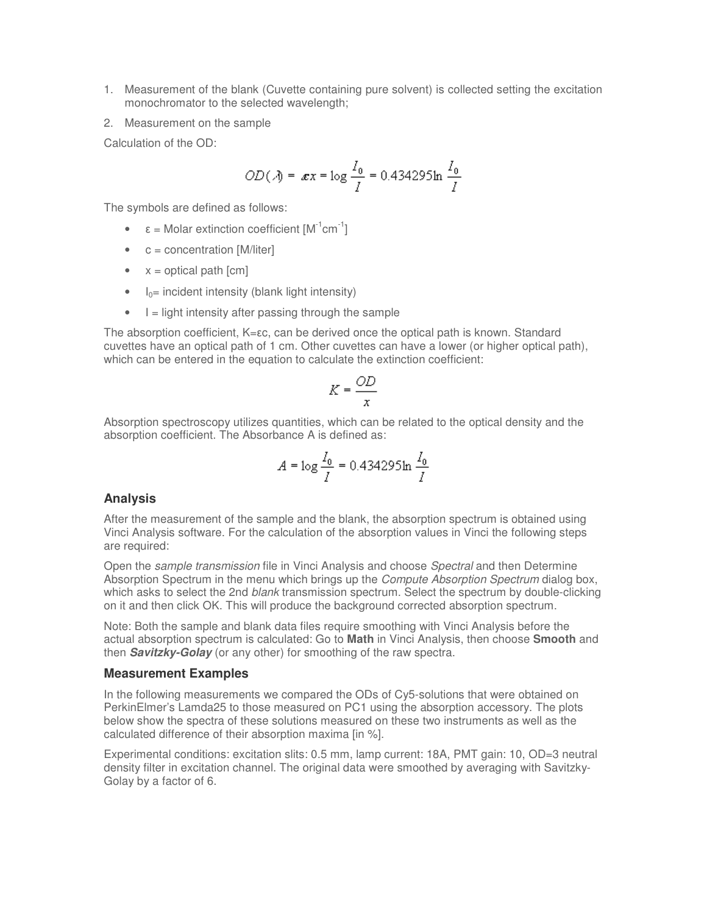- 1. Measurement of the blank (Cuvette containing pure solvent) is collected setting the excitation monochromator to the selected wavelength;
- 2. Measurement on the sample

Calculation of the OD:

$$
OD(\lambda) = \mathbf{x}x = \log \frac{I_0}{I} = 0.434295 \ln \frac{I_0}{I}
$$

The symbols are defined as follows:

- $\epsilon$  = Molar extinction coefficient  $[M^{-1}cm^{-1}]$
- $\bullet$  c = concentration [M/liter]
- $x =$  optical path  $[cm]$
- $\bullet$  I<sub>0</sub>= incident intensity (blank light intensity)
- $\bullet$   $\parallel$  = light intensity after passing through the sample

The absorption coefficient, K=εc, can be derived once the optical path is known. Standard cuvettes have an optical path of 1 cm. Other cuvettes can have a lower (or higher optical path), which can be entered in the equation to calculate the extinction coefficient:

$$
K = \frac{OD}{x}
$$

Absorption spectroscopy utilizes quantities, which can be related to the optical density and the absorption coefficient. The Absorbance A is defined as:

$$
A = \log \frac{I_0}{I} = 0.434295 \ln \frac{I_0}{I}
$$

### **Analysis**

After the measurement of the sample and the blank, the absorption spectrum is obtained using Vinci Analysis software. For the calculation of the absorption values in Vinci the following steps are required:

Open the sample transmission file in Vinci Analysis and choose Spectral and then Determine Absorption Spectrum in the menu which brings up the *Compute Absorption Spectrum* dialog box, which asks to select the 2nd blank transmission spectrum. Select the spectrum by double-clicking on it and then click OK. This will produce the background corrected absorption spectrum.

Note: Both the sample and blank data files require smoothing with Vinci Analysis before the actual absorption spectrum is calculated: Go to **Math** in Vinci Analysis, then choose **Smooth** and then **Savitzky-Golay** (or any other) for smoothing of the raw spectra.

#### **Measurement Examples**

In the following measurements we compared the ODs of Cy5-solutions that were obtained on PerkinElmer's Lamda25 to those measured on PC1 using the absorption accessory. The plots below show the spectra of these solutions measured on these two instruments as well as the calculated difference of their absorption maxima [in %].

Experimental conditions: excitation slits: 0.5 mm, lamp current: 18A, PMT gain: 10, OD=3 neutral density filter in excitation channel. The original data were smoothed by averaging with Savitzky-Golay by a factor of 6.